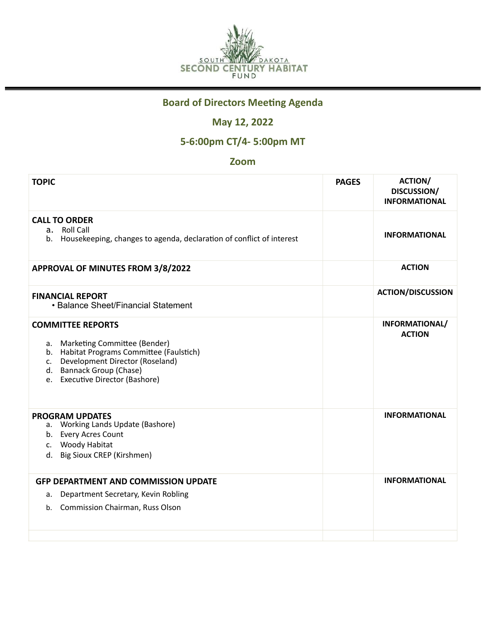

## **Board of Directors Meeting Agenda**

## **May 12, 2022**

## **5-6:00pm CT/4- 5:00pm MT**

### **Zoom**

| <b>TOPIC</b>                                                                                                                                                                                                     | <b>PAGES</b> | <b>ACTION/</b><br>DISCUSSION/<br><b>INFORMATIONAL</b> |
|------------------------------------------------------------------------------------------------------------------------------------------------------------------------------------------------------------------|--------------|-------------------------------------------------------|
| <b>CALL TO ORDER</b><br>a. Roll Call<br>b. Housekeeping, changes to agenda, declaration of conflict of interest                                                                                                  |              | <b>INFORMATIONAL</b>                                  |
| <b>APPROVAL OF MINUTES FROM 3/8/2022</b>                                                                                                                                                                         |              | <b>ACTION</b>                                         |
| <b>FINANCIAL REPORT</b><br>• Balance Sheet/Financial Statement                                                                                                                                                   |              | <b>ACTION/DISCUSSION</b>                              |
| <b>COMMITTEE REPORTS</b><br>a. Marketing Committee (Bender)<br>b. Habitat Programs Committee (Faulstich)<br>Development Director (Roseland)<br>C.<br>d. Bannack Group (Chase)<br>e. Executive Director (Bashore) |              | INFORMATIONAL/<br><b>ACTION</b>                       |
| <b>PROGRAM UPDATES</b><br>a. Working Lands Update (Bashore)<br>b. Every Acres Count<br>c. Woody Habitat<br>d. Big Sioux CREP (Kirshmen)                                                                          |              | <b>INFORMATIONAL</b>                                  |
| <b>GFP DEPARTMENT AND COMMISSION UPDATE</b><br>Department Secretary, Kevin Robling<br>а.<br><b>Commission Chairman, Russ Olson</b><br>b.                                                                         |              | <b>INFORMATIONAL</b>                                  |
|                                                                                                                                                                                                                  |              |                                                       |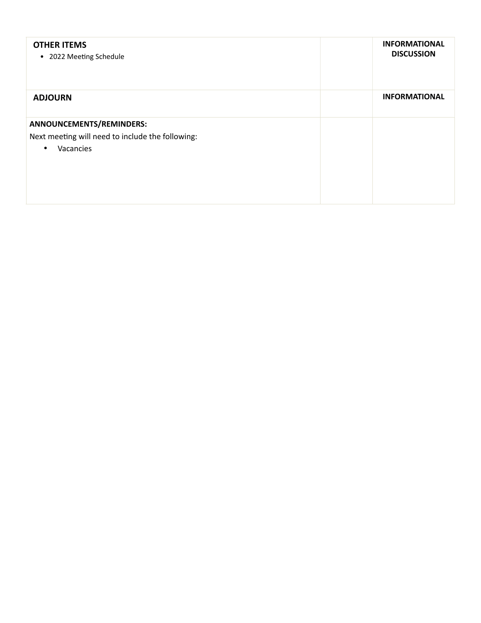| <b>OTHER ITEMS</b><br>• 2022 Meeting Schedule                                                          | <b>INFORMATIONAL</b><br><b>DISCUSSION</b> |
|--------------------------------------------------------------------------------------------------------|-------------------------------------------|
| <b>ADJOURN</b>                                                                                         | <b>INFORMATIONAL</b>                      |
| ANNOUNCEMENTS/REMINDERS:<br>Next meeting will need to include the following:<br>Vacancies<br>$\bullet$ |                                           |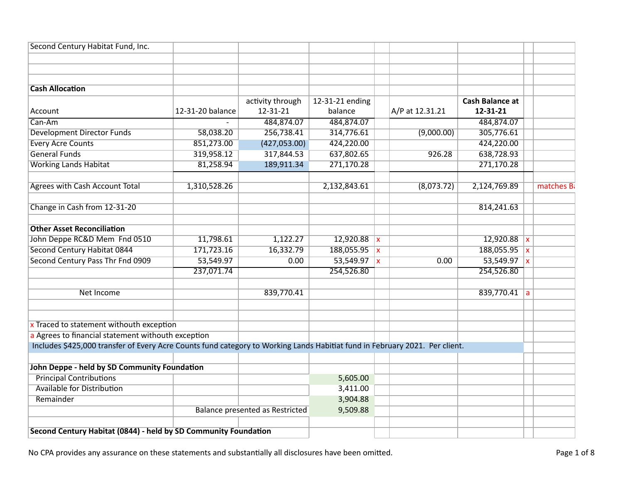| Second Century Habitat Fund, Inc.                                                                                           |                  |                                        |                 |                 |                        |              |           |
|-----------------------------------------------------------------------------------------------------------------------------|------------------|----------------------------------------|-----------------|-----------------|------------------------|--------------|-----------|
|                                                                                                                             |                  |                                        |                 |                 |                        |              |           |
|                                                                                                                             |                  |                                        |                 |                 |                        |              |           |
|                                                                                                                             |                  |                                        |                 |                 |                        |              |           |
| <b>Cash Allocation</b>                                                                                                      |                  |                                        |                 |                 |                        |              |           |
|                                                                                                                             |                  | activity through                       | 12-31-21 ending |                 | <b>Cash Balance at</b> |              |           |
| Account                                                                                                                     | 12-31-20 balance | 12-31-21                               | balance         | A/P at 12.31.21 | 12-31-21               |              |           |
| Can-Am                                                                                                                      |                  | 484,874.07                             | 484,874.07      |                 | 484,874.07             |              |           |
| <b>Development Director Funds</b>                                                                                           | 58,038.20        | 256,738.41                             | 314,776.61      | (9,000.00)      | 305,776.61             |              |           |
| <b>Every Acre Counts</b>                                                                                                    | 851,273.00       | (427,053.00)                           | 424,220.00      |                 | 424,220.00             |              |           |
| <b>General Funds</b>                                                                                                        | 319,958.12       | 317,844.53                             | 637,802.65      | 926.28          | 638,728.93             |              |           |
| <b>Working Lands Habitat</b>                                                                                                | 81,258.94        | 189,911.34                             | 271,170.28      |                 | 271,170.28             |              |           |
| <b>Agrees with Cash Account Total</b>                                                                                       | 1,310,528.26     |                                        | 2,132,843.61    | (8,073.72)      | 2,124,769.89           |              | matches B |
| Change in Cash from 12-31-20                                                                                                |                  |                                        |                 |                 | 814,241.63             |              |           |
| <b>Other Asset Reconciliation</b>                                                                                           |                  |                                        |                 |                 |                        |              |           |
| John Deppe RC&D Mem Fnd 0510                                                                                                | 11,798.61        | 1,122.27                               | $12,920.88$ x   |                 | $12,920.88$ x          |              |           |
| Second Century Habitat 0844                                                                                                 | 171,723.16       | 16,332.79                              | 188,055.95 x    |                 | 188,055.95             | $\mathbf{x}$ |           |
| Second Century Pass Thr Fnd 0909                                                                                            | 53,549.97        | 0.00                                   | 53,549.97 $x$   | 0.00            | 53,549.97 $x$          |              |           |
|                                                                                                                             | 237,071.74       |                                        | 254,526.80      |                 | 254,526.80             |              |           |
| Net Income                                                                                                                  |                  | 839,770.41                             |                 |                 | $839,770.41$ a         |              |           |
|                                                                                                                             |                  |                                        |                 |                 |                        |              |           |
| x Traced to statement withouth exception                                                                                    |                  |                                        |                 |                 |                        |              |           |
| a Agrees to financial statement withouth exception                                                                          |                  |                                        |                 |                 |                        |              |           |
| Includes \$425,000 transfer of Every Acre Counts fund category to Working Lands Habitiat fund in February 2021. Per client. |                  |                                        |                 |                 |                        |              |           |
| John Deppe - held by SD Community Foundation                                                                                |                  |                                        |                 |                 |                        |              |           |
| <b>Principal Contributions</b>                                                                                              |                  |                                        | 5,605.00        |                 |                        |              |           |
| <b>Available for Distribution</b>                                                                                           |                  |                                        | 3,411.00        |                 |                        |              |           |
| Remainder                                                                                                                   |                  |                                        | 3,904.88        |                 |                        |              |           |
|                                                                                                                             |                  | <b>Balance presented as Restricted</b> | 9,509.88        |                 |                        |              |           |
|                                                                                                                             |                  |                                        |                 |                 |                        |              |           |
| Second Century Habitat (0844) - held by SD Community Foundation                                                             |                  |                                        |                 |                 |                        |              |           |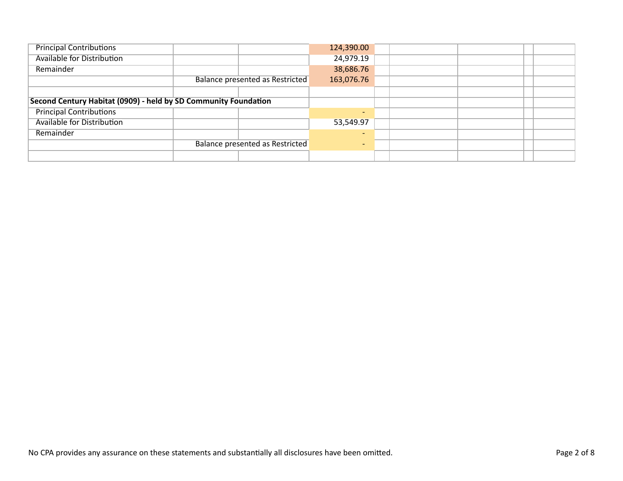| <b>Principal Contributions</b>                                  |                                 |            | 124,390.00               |  |  |  |
|-----------------------------------------------------------------|---------------------------------|------------|--------------------------|--|--|--|
| Available for Distribution                                      |                                 |            | 24,979.19                |  |  |  |
| Remainder                                                       |                                 |            | 38,686.76                |  |  |  |
|                                                                 | Balance presented as Restricted | 163,076.76 |                          |  |  |  |
|                                                                 |                                 |            |                          |  |  |  |
| Second Century Habitat (0909) - held by SD Community Foundation |                                 |            |                          |  |  |  |
| <b>Principal Contributions</b>                                  |                                 |            | $\overline{\phantom{0}}$ |  |  |  |
| <b>Available for Distribution</b>                               |                                 |            | 53,549.97                |  |  |  |
| Remainder                                                       |                                 |            | $\overline{\phantom{0}}$ |  |  |  |
|                                                                 | Balance presented as Restricted |            |                          |  |  |  |
|                                                                 |                                 |            |                          |  |  |  |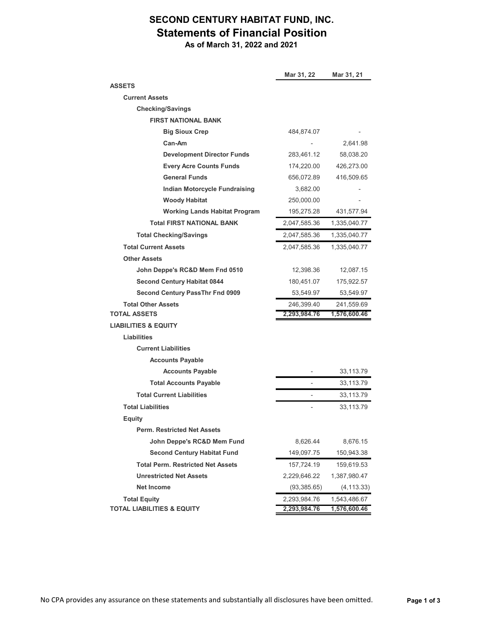# **SECOND CENTURY HABITAT FUND, INC. Statements of Financial Position**

 **As of March 31, 2022 and 2021**

|                                          | Mar 31, 22   | Mar 31, 21   |
|------------------------------------------|--------------|--------------|
| <b>ASSETS</b>                            |              |              |
| <b>Current Assets</b>                    |              |              |
| <b>Checking/Savings</b>                  |              |              |
| <b>FIRST NATIONAL BANK</b>               |              |              |
| <b>Big Sioux Crep</b>                    | 484,874.07   |              |
| Can-Am                                   |              | 2,641.98     |
| <b>Development Director Funds</b>        | 283,461.12   | 58,038.20    |
| <b>Every Acre Counts Funds</b>           | 174,220.00   | 426,273.00   |
| <b>General Funds</b>                     | 656,072.89   | 416,509.65   |
| Indian Motorcycle Fundraising            | 3,682.00     |              |
| <b>Woody Habitat</b>                     | 250,000.00   |              |
| <b>Working Lands Habitat Program</b>     | 195,275.28   | 431,577.94   |
| <b>Total FIRST NATIONAL BANK</b>         | 2,047,585.36 | 1,335,040.77 |
| <b>Total Checking/Savings</b>            | 2,047,585.36 | 1,335,040.77 |
| <b>Total Current Assets</b>              | 2,047,585.36 | 1,335,040.77 |
| <b>Other Assets</b>                      |              |              |
| John Deppe's RC&D Mem Fnd 0510           | 12,398.36    | 12,087.15    |
| <b>Second Century Habitat 0844</b>       | 180,451.07   | 175,922.57   |
| Second Century PassThr Fnd 0909          | 53,549.97    | 53,549.97    |
| <b>Total Other Assets</b>                | 246,399.40   | 241,559.69   |
| <b>TOTAL ASSETS</b>                      | 2,293,984.76 | 1,576,600.46 |
| <b>LIABILITIES &amp; EQUITY</b>          |              |              |
| Liabilities                              |              |              |
| <b>Current Liabilities</b>               |              |              |
| <b>Accounts Payable</b>                  |              |              |
| <b>Accounts Payable</b>                  |              | 33,113.79    |
| <b>Total Accounts Payable</b>            |              | 33,113.79    |
| <b>Total Current Liabilities</b>         |              | 33,113.79    |
| <b>Total Liabilities</b>                 |              | 33,113.79    |
| <b>Equity</b>                            |              |              |
| <b>Perm. Restricted Net Assets</b>       |              |              |
| John Deppe's RC&D Mem Fund               | 8,626.44     | 8,676.15     |
| <b>Second Century Habitat Fund</b>       | 149,097.75   | 150,943.38   |
| <b>Total Perm. Restricted Net Assets</b> | 157,724.19   | 159,619.53   |
| <b>Unrestricted Net Assets</b>           | 2,229,646.22 | 1,387,980.47 |
| <b>Net Income</b>                        | (93, 385.65) | (4, 113.33)  |
| <b>Total Equity</b>                      | 2,293,984.76 | 1,543,486.67 |
| <b>TOTAL LIABILITIES &amp; EQUITY</b>    | 2,293,984.76 | 1,576,600.46 |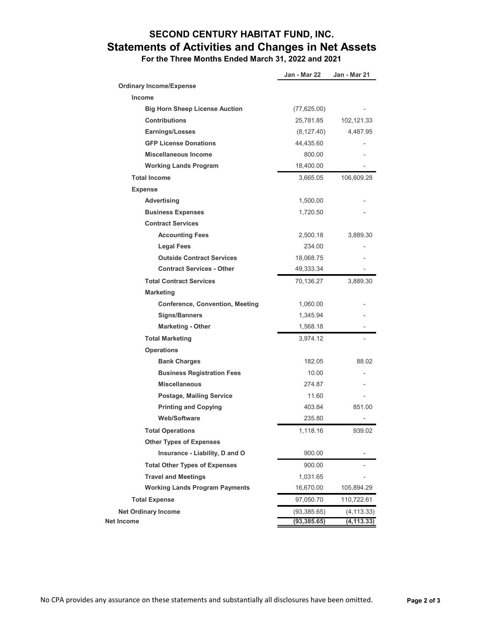# **SECOND CENTURY HABITAT FUND, INC. Statements of Activities and Changes in Net Assets**

 **For the Three Months Ended March 31, 2022 and 2021**

|                                        | Jan - Mar 22 | Jan - Mar 21   |
|----------------------------------------|--------------|----------------|
| <b>Ordinary Income/Expense</b>         |              |                |
| <b>Income</b>                          |              |                |
| <b>Big Horn Sheep License Auction</b>  | (77,625.00)  |                |
| <b>Contributions</b>                   | 25,781.85    | 102,121.33     |
| Earnings/Losses                        | (8, 127.40)  | 4,487.95       |
| <b>GFP License Donations</b>           | 44,435.60    |                |
| <b>Miscellaneous Income</b>            | 800.00       |                |
| <b>Working Lands Program</b>           | 18,400.00    |                |
| <b>Total Income</b>                    | 3,665.05     | 106,609.28     |
| <b>Expense</b>                         |              |                |
| Advertising                            | 1,500.00     |                |
| <b>Business Expenses</b>               | 1,720.50     |                |
| <b>Contract Services</b>               |              |                |
| <b>Accounting Fees</b>                 | 2,500.18     | 3,889.30       |
| Legal Fees                             | 234.00       |                |
| <b>Outside Contract Services</b>       | 18,068.75    |                |
| <b>Contract Services - Other</b>       | 49,333.34    |                |
| <b>Total Contract Services</b>         | 70,136.27    | 3,889.30       |
| <b>Marketing</b>                       |              |                |
| <b>Conference, Convention, Meeting</b> | 1,060.00     |                |
| <b>Signs/Banners</b>                   | 1,345.94     |                |
| <b>Marketing - Other</b>               | 1,568.18     |                |
| <b>Total Marketing</b>                 | 3,974.12     | ٠              |
| <b>Operations</b>                      |              |                |
| <b>Bank Charges</b>                    | 182.05       | 88.02          |
| <b>Business Registration Fees</b>      | 10.00        |                |
| <b>Miscellaneous</b>                   | 274.87       |                |
| <b>Postage, Mailing Service</b>        | 11.60        |                |
| <b>Printing and Copying</b>            | 403.84       | 851.00         |
| <b>Web/Software</b>                    | 235.80       | $\overline{a}$ |
| <b>Total Operations</b>                | 1,118.16     | 939.02         |
| <b>Other Types of Expenses</b>         |              |                |
| Insurance - Liability, D and O         | 900.00       |                |
| <b>Total Other Types of Expenses</b>   | 900.00       |                |
| <b>Travel and Meetings</b>             | 1,031.65     |                |
| <b>Working Lands Program Payments</b>  | 16,670.00    | 105,894.29     |
| <b>Total Expense</b>                   | 97,050.70    | 110,722.61     |
| <b>Net Ordinary Income</b>             | (93, 385.65) | (4,113.33)     |
| <b>Net Income</b>                      | (93, 385.65) | (4, 113.33)    |